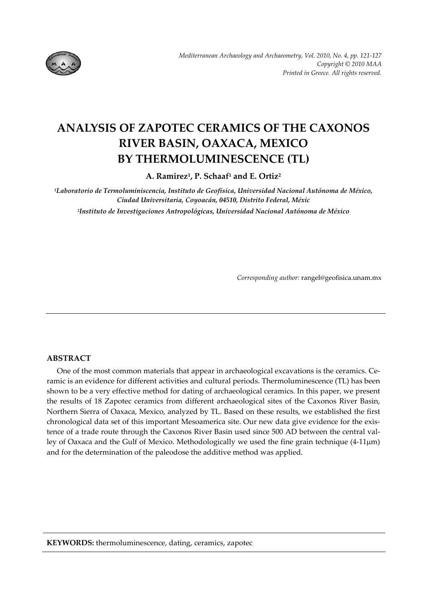

# **ANALYSIS OF ZAPOTEC CERAMICS OF THE CAXONOS RIVER BASIN, OAXACA, MEXICO BY THERMOLUMINESCENCE (TL)**

**A. Ramirez1, P. Schaaf1 and E. Ortiz2**

*1Laboratorio de Termoluminiscencia, Instituto de Geofísica, Universidad Nacional Autónoma de México, Ciudad Universitaria, Coyoacán, 04510, Distrito Federal, Méxic 2Instituto de Investigaciones Antropológicas, Universidad Nacional Autónoma de México*

*Corresponding author:* rangel@geofisica.unam.mx

# **ABSTRACT**

One of the most common materials that appear in archaeological excavations is the ceramics. Ceramic is an evidence for different activities and cultural periods. Thermoluminescence (TL) has been shown to be a very effective method for dating of archaeological ceramics. In this paper, we present the results of 18 Zapotec ceramics from different archaeological sites of the Caxonos River Basin, Northern Sierra of Oaxaca, Mexico, analyzed by TL. Based on these results, we established the first chronological data set of this important Mesoamerica site. Our new data give evidence for the exis‐ tence of a trade route through the Caxonos River Basin used since 500 AD between the central valley of Oaxaca and the Gulf of Mexico. Methodologically we used the fine grain technique (4‐11μm) and for the determination of the paleodose the additive method was applied.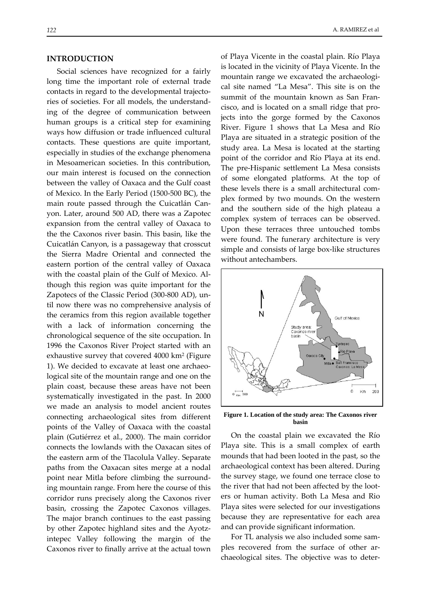## **INTRODUCTION**

Social sciences have recognized for a fairly long time the important role of external trade contacts in regard to the developmental trajecto‐ ries of societies. For all models, the understand‐ ing of the degree of communication between human groups is a critical step for examining ways how diffusion or trade influenced cultural contacts. These questions are quite important, especially in studies of the exchange phenomena in Mesoamerican societies. In this contribution, our main interest is focused on the connection between the valley of Oaxaca and the Gulf coast of Mexico. In the Early Period (1500‐500 BC), the main route passed through the Cuicatlán Can‐ yon. Later, around 500 AD, there was a Zapotec expansion from the central valley of Oaxaca to the the Caxonos river basin. This basin, like the Cuicatlán Canyon, is a passageway that crosscut the Sierra Madre Oriental and connected the eastern portion of the central valley of Oaxaca with the coastal plain of the Gulf of Mexico. Al‐ though this region was quite important for the Zapotecs of the Classic Period (300‐800 AD), un‐ til now there was no comprehensive analysis of the ceramics from this region available together with a lack of information concerning the chronological sequence of the site occupation. In 1996 the Caxonos River Project started with an exhaustive survey that covered 4000 km<sup>2</sup> (Figure 1). We decided to excavate at least one archaeo‐ logical site of the mountain range and one on the plain coast, because these areas have not been systematically investigated in the past. In 2000 we made an analysis to model ancient routes connecting archaeological sites from different points of the Valley of Oaxaca with the coastal plain (Gutiérrez et al., 2000). The main corridor connects the lowlands with the Oaxacan sites of the eastern arm of the Tlacolula Valley. Separate paths from the Oaxacan sites merge at a nodal point near Mitla before climbing the surround‐ ing mountain range. From here the course of this corridor runs precisely along the Caxonos river basin, crossing the Zapotec Caxonos villages. The major branch continues to the east passing by other Zapotec highland sites and the Ayotz‐ intepec Valley following the margin of the Caxonos river to finally arrive at the actual town

of Playa Vicente in the coastal plain. Río Playa is located in the vicinity of Playa Vicente. In the mountain range we excavated the archaeological site named "La Mesa". This site is on the summit of the mountain known as San Fran‐ cisco, and is located on a small ridge that pro‐ jects into the gorge formed by the Caxonos River. Figure 1 shows that La Mesa and Río Playa are situated in a strategic position of the study area. La Mesa is located at the starting point of the corridor and Río Playa at its end. The pre‐Hispanic settlement La Mesa consists of some elongated platforms. At the top of these levels there is a small architectural com‐ plex formed by two mounds. On the western and the southern side of the high plateau a complex system of terraces can be observed. Upon these terraces three untouched tombs were found. The funerary architecture is very simple and consists of large box-like structures without antechambers.



**Figure 1. Location of the study area: The Caxonos river basin** 

On the coastal plain we excavated the Río Playa site. This is a small complex of earth mounds that had been looted in the past, so the archaeological context has been altered. During the survey stage, we found one terrace close to the river that had not been affected by the loot‐ ers or human activity. Both La Mesa and Rio Playa sites were selected for our investigations because they are representative for each area and can provide significant information.

For TL analysis we also included some sam‐ ples recovered from the surface of other ar‐ chaeological sites. The objective was to deter‐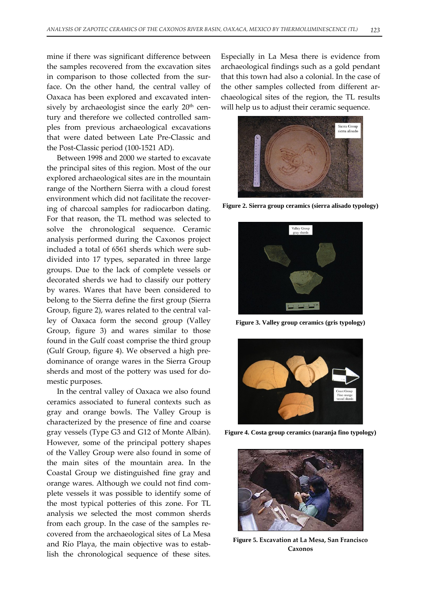mine if there was significant difference between the samples recovered from the excavation sites in comparison to those collected from the sur‐ face. On the other hand, the central valley of Oaxaca has been explored and excavated inten‐ sively by archaeologist since the early  $20<sup>th</sup>$  century and therefore we collected controlled samples from previous archaeological excavations that were dated between Late Pre‐Classic and the Post‐Classic period (100‐1521 AD).

Between 1998 and 2000 we started to excavate the principal sites of this region. Most of the our explored archaeological sites are in the mountain range of the Northern Sierra with a cloud forest environment which did not facilitate the recover‐ ing of charcoal samples for radiocarbon dating. For that reason, the TL method was selected to solve the chronological sequence. Ceramic analysis performed during the Caxonos project included a total of 6561 sherds which were sub‐ divided into 17 types, separated in three large groups. Due to the lack of complete vessels or decorated sherds we had to classify our pottery by wares. Wares that have been considered to belong to the Sierra define the first group (Sierra Group, figure 2), wares related to the central val‐ ley of Oaxaca form the second group (Valley Group, figure 3) and wares similar to those found in the Gulf coast comprise the third group (Gulf Group, figure 4). We observed a high pre‐ dominance of orange wares in the Sierra Group sherds and most of the pottery was used for do‐ mestic purposes.

In the central valley of Oaxaca we also found ceramics associated to funeral contexts such as gray and orange bowls. The Valley Group is characterized by the presence of fine and coarse gray vessels (Type G3 and G12 of Monte Albán). However, some of the principal pottery shapes of the Valley Group were also found in some of the main sites of the mountain area. In the Coastal Group we distinguished fine gray and orange wares. Although we could not find com‐ plete vessels it was possible to identify some of the most typical potteries of this zone. For TL analysis we selected the most common sherds from each group. In the case of the samples re‐ covered from the archaeological sites of La Mesa and Río Playa, the main objective was to estab‐ lish the chronological sequence of these sites.

Especially in La Mesa there is evidence from archaeological findings such as a gold pendant that this town had also a colonial. In the case of the other samples collected from different archaeological sites of the region, the TL results will help us to adjust their ceramic sequence.



**Figure 2. Sierra group ceramics (sierra alisado typology)** 



**Figure 3. Valley group ceramics (gris typology)** 



**Figure 4. Costa group ceramics (naranja fino typology)** 



**Figure 5. Excavation at La Mesa, San Francisco Caxonos**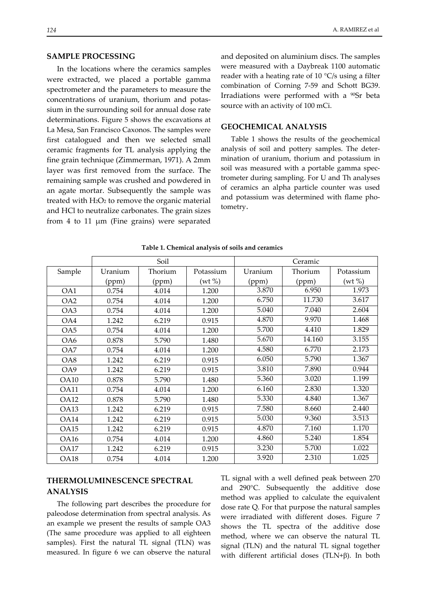## **SAMPLE PROCESSING**

In the locations where the ceramics samples were extracted, we placed a portable gamma spectrometer and the parameters to measure the concentrations of uranium, thorium and potas‐ sium in the surrounding soil for annual dose rate determinations. Figure 5 shows the excavations at La Mesa, San Francisco Caxonos. The samples were first catalogued and then we selected small ceramic fragments for TL analysis applying the fine grain technique (Zimmerman, 1971). A 2mm layer was first removed from the surface. The remaining sample was crushed and powdered in an agate mortar. Subsequently the sample was treated with  $H_2O_2$  to remove the organic material and HCl to neutralize carbonates. The grain sizes from 4 to 11 μm (Fine grains) were separated

and deposited on aluminium discs. The samples were measured with a Daybreak 1100 automatic reader with a heating rate of 10 °C/s using a filter combination of Corning 7‐59 and Schott BG39. Irradiations were performed with a <sup>90</sup>Sr beta source with an activity of 100 mCi.

## **GEOCHEMICAL ANALYSIS**

Table 1 shows the results of the geochemical analysis of soil and pottery samples. The deter‐ mination of uranium, thorium and potassium in soil was measured with a portable gamma spec‐ trometer during sampling. For U and Th analyses of ceramics an alpha particle counter was used and potassium was determined with flame pho‐ tometry.

|                 | Soil    |         |           | Ceramic |         |              |
|-----------------|---------|---------|-----------|---------|---------|--------------|
| Sample          | Uranium | Thorium | Potassium | Uranium | Thorium | Potassium    |
|                 | (ppm)   | (ppm)   | (wt %)    | (ppm)   | (ppm)   | $(wt \, \%)$ |
| OA1             | 0.754   | 4.014   | 1.200     | 3.870   | 6.950   | 1.973        |
| OA <sub>2</sub> | 0.754   | 4.014   | 1.200     | 6.750   | 11.730  | 3.617        |
| OA3             | 0.754   | 4.014   | 1.200     | 5.040   | 7.040   | 2.604        |
| OA4             | 1.242   | 6.219   | 0.915     | 4.870   | 9.970   | 1.468        |
| OA <sub>5</sub> | 0.754   | 4.014   | 1.200     | 5.700   | 4.410   | 1.829        |
| OA6             | 0.878   | 5.790   | 1.480     | 5.670   | 14.160  | 3.155        |
| OA7             | 0.754   | 4.014   | 1.200     | 4.580   | 6.770   | 2.173        |
| OA8             | 1.242   | 6.219   | 0.915     | 6.050   | 5.790   | 1.367        |
| OA9             | 1.242   | 6.219   | 0.915     | 3.810   | 7.890   | 0.944        |
| <b>OA10</b>     | 0.878   | 5.790   | 1.480     | 5.360   | 3.020   | 1.199        |
| OA11            | 0.754   | 4.014   | 1.200     | 6.160   | 2.830   | 1.320        |
| <b>OA12</b>     | 0.878   | 5.790   | 1.480     | 5.330   | 4.840   | 1.367        |
| OA13            | 1.242   | 6.219   | 0.915     | 7.580   | 8.660   | 2.440        |
| OA14            | 1.242   | 6.219   | 0.915     | 5.030   | 9.360   | 3.513        |
| OA15            | 1.242   | 6.219   | 0.915     | 4.870   | 7.160   | 1.170        |
| <b>OA16</b>     | 0.754   | 4.014   | 1.200     | 4.860   | 5.240   | 1.854        |
| OA17            | 1.242   | 6.219   | 0.915     | 3.230   | 5.700   | 1.022        |
| <b>OA18</b>     | 0.754   | 4.014   | 1.200     | 3.920   | 2.310   | 1.025        |

**Table 1. Chemical analysis of soils and ceramics**

# **THERMOLUMINESCENCE SPECTRAL ANALYSIS**

The following part describes the procedure for paleodose determination from spectral analysis. As an example we present the results of sample OA3 (The same procedure was applied to all eighteen samples). First the natural TL signal (TLN) was measured. In figure 6 we can observe the natural

TL signal with a well defined peak between 270 and 290°C. Subsequently the additive dose method was applied to calculate the equivalent dose rate Q. For that purpose the natural samples were irradiated with different doses. Figure 7 shows the TL spectra of the additive dose method, where we can observe the natural TL signal (TLN) and the natural TL signal together with different artificial doses (TLN+β). In both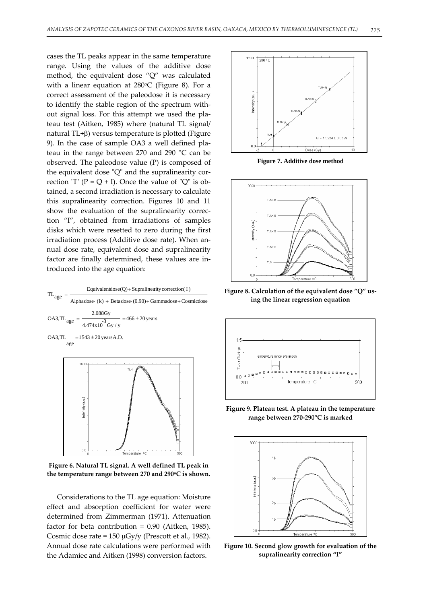cases the TL peaks appear in the same temperature range. Using the values of the additive dose method, the equivalent dose "Q" was calculated with a linear equation at  $280^{\circ}$ C (Figure 8). For a correct assessment of the paleodose it is necessary to identify the stable region of the spectrum with‐ out signal loss. For this attempt we used the pla‐ teau test (Aitken, 1985) where (natural TL signal/ natural TL+β) versus temperature is plotted (Figure 9). In the case of sample OA3 a well defined pla‐ teau in the range between 270 and 290 °C can be observed. The paleodose value (P) is composed of the equivalent dose "Q" and the supralinearity correction "I" ( $P = Q + I$ ). Once the value of "Q" is obtained, a second irradiation is necessary to calculate this supralinearity correction. Figures 10 and 11 show the evaluation of the supralinearity correction "I", obtained from irradiations of samples disks which were resetted to zero during the first irradiation process (Additive dose rate). When an‐ nual dose rate, equivalent dose and supralinearity factor are finally determined, these values are in‐ troduced into the age equation:



**Figure 6. Natural TL signal. A well defined TL peak in the temperature range between 270 and 290oC is shown.**

Considerations to the TL age equation: Moisture effect and absorption coefficient for water were determined from Zimmerman (1971). Attenuation factor for beta contribution = 0.90 (Aitken, 1985). Cosmic dose rate =  $150 \mu Gy/y$  (Prescott et al., 1982). Annual dose rate calculations were performed with the Adamiec and Aitken (1998) conversion factors.



**Figure 7. Additive dose method** 



**Figure 8. Calculation of the equivalent dose "Q" us‐ ing the linear regression equation**



**Figure 9. Plateau test. A plateau in the temperature range between 270‐290°C is marked**



**Figure 10. Second glow growth for evaluation of the supralinearity correction "I"**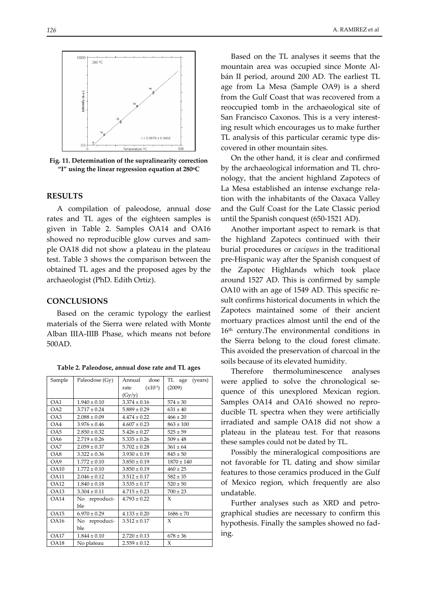

**Fig. 11. Determination of the supralinearity correction "I" using the linear regression equation at 280oC**

#### **RESULTS**

A compilation of paleodose, annual dose rates and TL ages of the eighteen samples is given in Table 2. Samples OA14 and OA16 showed no reproducible glow curves and sam‐ ple OA18 did not show a plateau in the plateau test. Table 3 shows the comparison between the obtained TL ages and the proposed ages by the archaeologist (PhD. Edith Ortiz).

### **CONCLUSIONS**

Based on the ceramic typology the earliest materials of the Sierra were related with Monte Alban IIIA‐IIIB Phase, which means not before 500AD.

| Sample           | Paleodose (Gy)   | Annual<br>dose       | TL age (years) |  |
|------------------|------------------|----------------------|----------------|--|
|                  |                  | $(x10^{-3})$<br>rate | (2009)         |  |
|                  |                  | (Gy/y)               |                |  |
| OA1              | $1.940 \pm 0.10$ | $3.374 \pm 0.16$     | $574 \pm 30$   |  |
| OA2              | $3.717 \pm 0.24$ | $5.889 \pm 0.29$     | $631 \pm 40$   |  |
| OA3              | $2.088 \pm 0.09$ | $4.474 \pm 0.22$     | $466 \pm 20$   |  |
| OA4              | $3.976 \pm 0.46$ | $4.607 \pm 0.23$     | $863 \pm 100$  |  |
| O <sub>45</sub>  | $2.850 \pm 0.32$ | $5.426 \pm 0.27$     | $525 \pm 59$   |  |
| OA6              | $2.719 \pm 0.26$ | $5.335 \pm 0.26$     | $509 \pm 48$   |  |
| OA7              | $2.059 \pm 0.37$ | $5.702 \pm 0.28$     | $361 \pm 64$   |  |
| OA8              | $3.322 \pm 0.36$ | $3.930 \pm 0.19$     | $845 \pm 50$   |  |
| OA9              | $1.772 \pm 0.10$ | $3.850 \pm 0.19$     | $1870 \pm 140$ |  |
| OA10             | $1.772 \pm 0.10$ | $3.850 \pm 0.19$     | $460 \pm 25$   |  |
| OA11             | $2.046 \pm 0.12$ | $3.512 \pm 0.17$     | $582 \pm 35$   |  |
| OA12             | $1.840 \pm 0.18$ | $3.535 \pm 0.17$     | $520 \pm 50$   |  |
| OA13             | $3.304 \pm 0.11$ | $4.715 \pm 0.23$     | $700 \pm 23$   |  |
| OA14             | No reproduci-    | $4.793 \pm 0.22$     | X              |  |
|                  | ble              |                      |                |  |
| O <sub>A15</sub> | $6.970 \pm 0.29$ | $4.133 \pm 0.20$     | $1686 \pm 70$  |  |
| <b>OA16</b>      | No reproduci-    | $3.512 \pm 0.17$     | X              |  |
|                  | ble              |                      |                |  |
| <b>OA17</b>      | $1.844 \pm 0.10$ | $2.720 \pm 0.13$     | $678 \pm 36$   |  |
| <b>OA18</b>      | No plateau       | $2.559 \pm 0.12$     | X              |  |

**Table 2. Paleodose, annual dose rate and TL ages**

Based on the TL analyses it seems that the mountain area was occupied since Monte Al‐ bán II period, around 200 AD. The earliest TL age from La Mesa (Sample OA9) is a sherd from the Gulf Coast that was recovered from a reoccupied tomb in the archaeological site of San Francisco Caxonos. This is a very interest‐ ing result which encourages us to make further TL analysis of this particular ceramic type dis‐ covered in other mountain sites.

On the other hand, it is clear and confirmed by the archaeological information and TL chronology, that the ancient highland Zapotecs of La Mesa established an intense exchange rela‐ tion with the inhabitants of the Oaxaca Valley and the Gulf Coast for the Late Classic period until the Spanish conquest (650‐1521 AD).

Another important aspect to remark is that the highland Zapotecs continued with their burial procedures or *caciques* in the traditional pre‐Hispanic way after the Spanish conquest of the Zapotec Highlands which took place around 1527 AD. This is confirmed by sample OA10 with an age of 1549 AD. This specific re‐ sult confirms historical documents in which the Zapotecs maintained some of their ancient mortuary practices almost until the end of the 16<sup>th</sup> century. The environmental conditions in the Sierra belong to the cloud forest climate. This avoided the preservation of charcoal in the soils because of its elevated humidity.

Therefore thermoluminescence analyses were applied to solve the chronological sequence of this unexplored Mexican region. Samples OA14 and OA16 showed no repro‐ ducible TL spectra when they were artificially irradiated and sample OA18 did not show a plateau in the plateau test. For that reasons these samples could not be dated by TL.

Possibly the mineralogical compositions are not favorable for TL dating and show similar features to those ceramics produced in the Gulf of Mexico region, which frequently are also undatable.

Further analyses such as XRD and petro‐ graphical studies are necessary to confirm this hypothesis. Finally the samples showed no fad‐ ing.